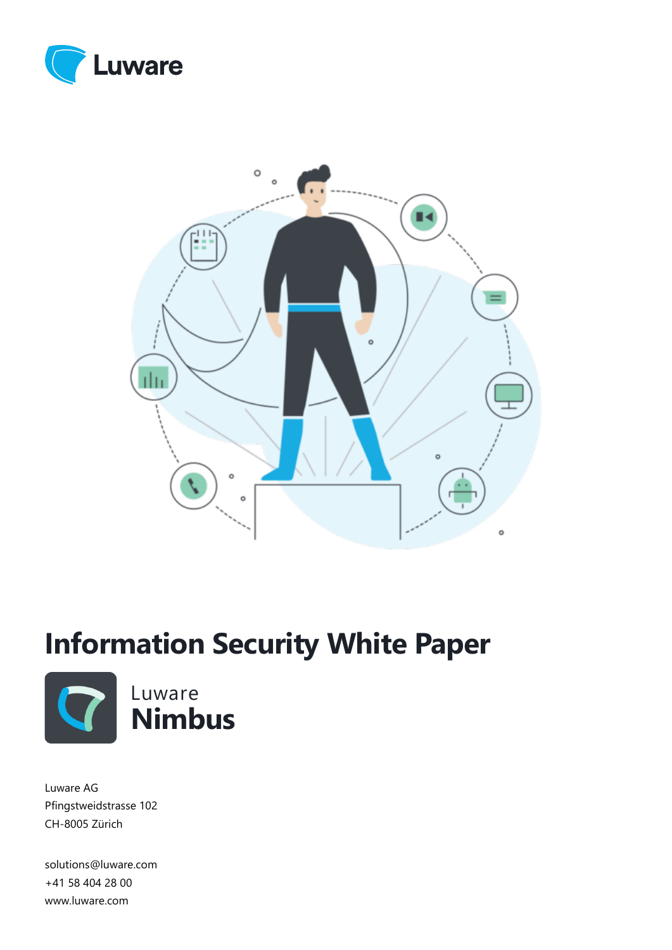



# **Information Security White Paper**



Luware AG Pfingstweidstrasse 102 CH-8005 Zürich

solutions@luware.com +41 58 404 28 00 www.luware.com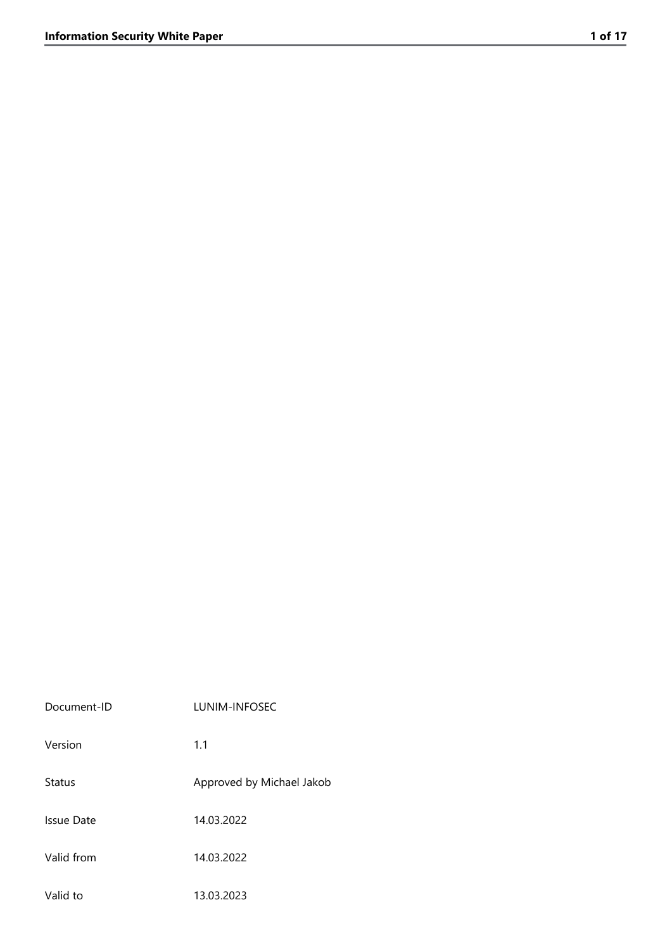| Document-ID   | LUNIM-INFOSEC             |
|---------------|---------------------------|
| Version       | 1.1                       |
| <b>Status</b> | Approved by Michael Jakob |
| Issue Date    | 14.03.2022                |
| Valid from    | 14.03.2022                |
| Valid to      | 13.03.2023                |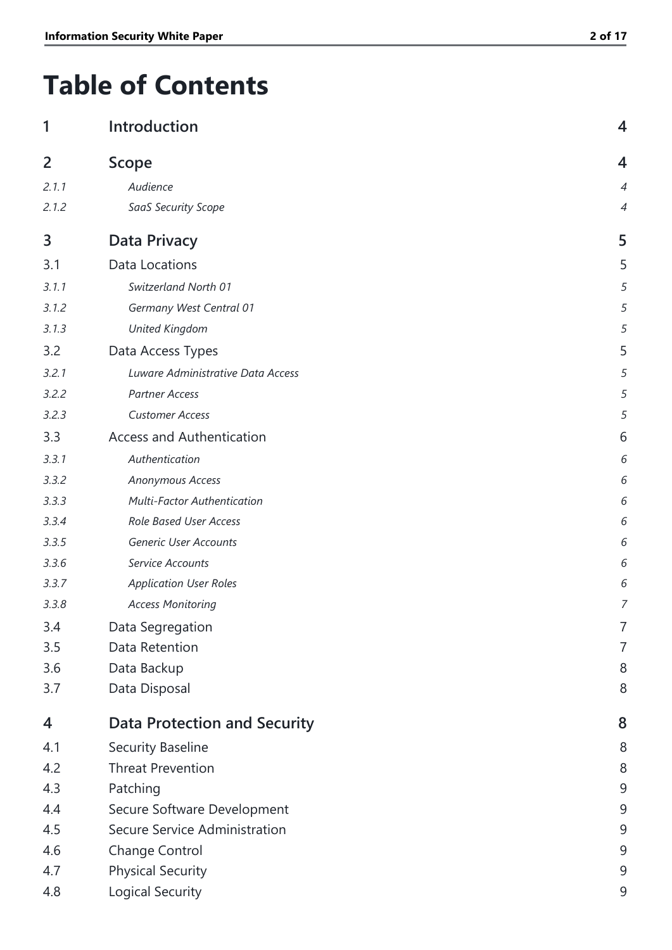## **Table of Contents**

| 1     | Introduction                        | 4 |
|-------|-------------------------------------|---|
| 2     | <b>Scope</b>                        | 4 |
| 2.1.1 | Audience                            | 4 |
| 2.1.2 | SaaS Security Scope                 | 4 |
| 3     | <b>Data Privacy</b>                 | 5 |
| 3.1   | <b>Data Locations</b>               | 5 |
| 3.1.1 | Switzerland North 01                | 5 |
| 3.1.2 | Germany West Central 01             | 5 |
| 3.1.3 | <b>United Kingdom</b>               | 5 |
| 3.2   | Data Access Types                   | 5 |
| 3.2.1 | Luware Administrative Data Access   | 5 |
| 3.2.2 | <b>Partner Access</b>               | 5 |
| 3.2.3 | <b>Customer Access</b>              | 5 |
| 3.3   | <b>Access and Authentication</b>    | 6 |
| 3.3.1 | Authentication                      | 6 |
| 3.3.2 | Anonymous Access                    | 6 |
| 3.3.3 | <b>Multi-Factor Authentication</b>  | 6 |
| 3.3.4 | Role Based User Access              | 6 |
| 3.3.5 | Generic User Accounts               | 6 |
| 3.3.6 | Service Accounts                    | 6 |
| 3.3.7 | <b>Application User Roles</b>       | 6 |
| 3.3.8 | <b>Access Monitoring</b>            | 7 |
| 3.4   | Data Segregation                    | 7 |
| 3.5   | Data Retention                      | 7 |
| 3.6   | Data Backup                         | 8 |
| 3.7   | Data Disposal                       | 8 |
| 4     | <b>Data Protection and Security</b> | 8 |
| 4.1   | <b>Security Baseline</b>            | 8 |
| 4.2   | <b>Threat Prevention</b>            | 8 |
| 4.3   | Patching                            | 9 |
| 4.4   | Secure Software Development         | 9 |
| 4.5   | Secure Service Administration       | 9 |
| 4.6   | Change Control                      | 9 |
| 4.7   | <b>Physical Security</b>            | 9 |
| 4.8   | Logical Security                    | 9 |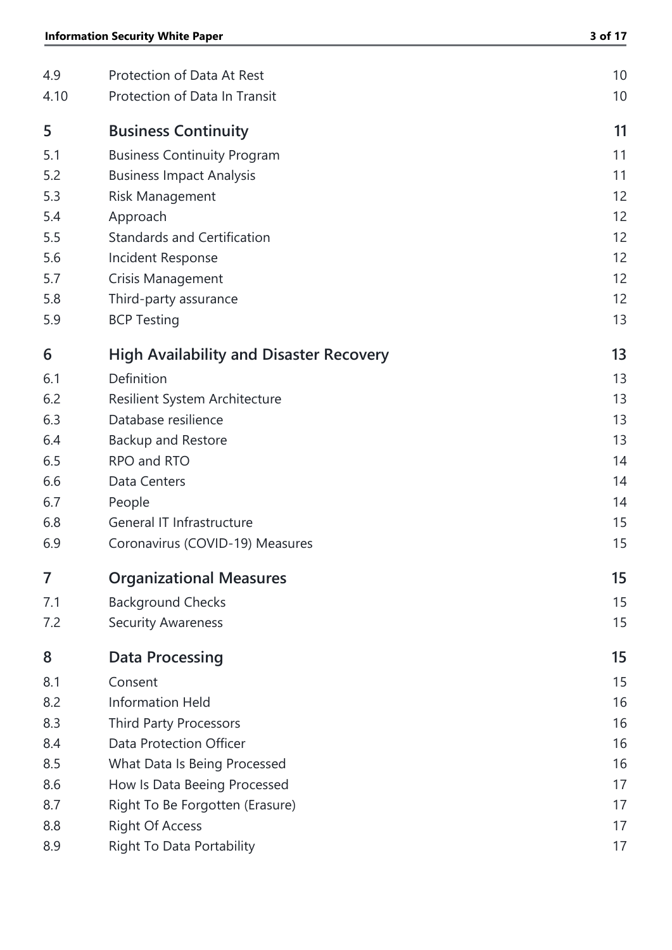| 4.9  | Protection of Data At Rest                     | 10 |
|------|------------------------------------------------|----|
| 4.10 | Protection of Data In Transit                  | 10 |
| 5    | <b>Business Continuity</b>                     | 11 |
| 5.1  | <b>Business Continuity Program</b>             | 11 |
| 5.2  | <b>Business Impact Analysis</b>                | 11 |
| 5.3  | <b>Risk Management</b>                         | 12 |
| 5.4  | Approach                                       | 12 |
| 5.5  | <b>Standards and Certification</b>             | 12 |
| 5.6  | Incident Response                              | 12 |
| 5.7  | Crisis Management                              | 12 |
| 5.8  | Third-party assurance                          | 12 |
| 5.9  | <b>BCP Testing</b>                             | 13 |
| 6    | <b>High Availability and Disaster Recovery</b> | 13 |
| 6.1  | Definition                                     | 13 |
| 6.2  | Resilient System Architecture                  | 13 |
| 6.3  | Database resilience                            | 13 |
| 6.4  | <b>Backup and Restore</b>                      | 13 |
| 6.5  | RPO and RTO                                    | 14 |
| 6.6  | Data Centers                                   | 14 |
| 6.7  | People                                         | 14 |
| 6.8  | General IT Infrastructure                      | 15 |
| 6.9  | Coronavirus (COVID-19) Measures                | 15 |
| 7    | <b>Organizational Measures</b>                 | 15 |
| 7.1  | <b>Background Checks</b>                       | 15 |
| 7.2  | <b>Security Awareness</b>                      | 15 |
| 8    | <b>Data Processing</b>                         | 15 |
| 8.1  | Consent                                        | 15 |
| 8.2  | <b>Information Held</b>                        | 16 |
| 8.3  | <b>Third Party Processors</b>                  | 16 |
| 8.4  | Data Protection Officer                        | 16 |
| 8.5  | What Data Is Being Processed                   | 16 |
| 8.6  | How Is Data Beeing Processed                   | 17 |
| 8.7  | Right To Be Forgotten (Erasure)                | 17 |
| 8.8  | <b>Right Of Access</b>                         | 17 |
| 8.9  | <b>Right To Data Portability</b>               | 17 |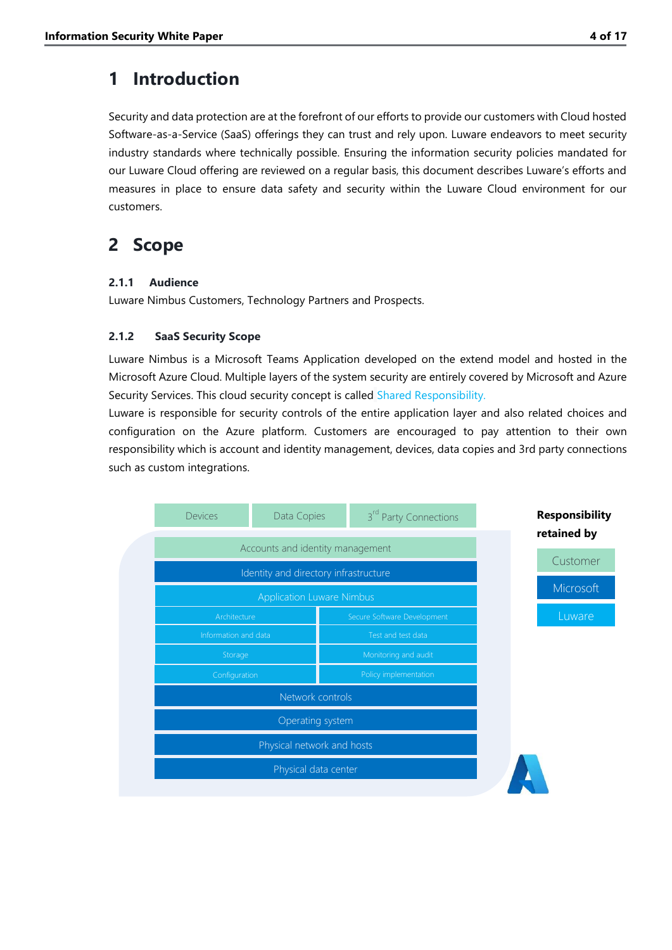### <span id="page-4-0"></span>**1 Introduction**

Security and data protection are at the forefront of our efforts to provide our customers with Cloud hosted Software-as-a-Service (SaaS) offerings they can trust and rely upon. Luware endeavors to meet security industry standards where technically possible. Ensuring the information security policies mandated for our Luware Cloud offering are reviewed on a regular basis, this document describes Luware's efforts and measures in place to ensure data safety and security within the Luware Cloud environment for our customers.

## <span id="page-4-1"></span>**2 Scope**

#### <span id="page-4-2"></span>**2.1.1 Audience**

Luware Nimbus Customers, Technology Partners and Prospects.

#### <span id="page-4-3"></span>**2.1.2 SaaS Security Scope**

Luware Nimbus is a Microsoft Teams Application developed on the extend model and hosted in the Microsoft Azure Cloud. Multiple layers of the system security are entirely covered by Microsoft and Azure Security Services. This cloud security concept is called [Shared Responsibility.](https://azure.microsoft.com/en-gb/resources/shared-responsibility-for-cloud-computing/)

Luware is responsible for security controls of the entire application layer and also related choices and configuration on the Azure platform. Customers are encouraged to pay attention to their own responsibility which is account and identity management, devices, data copies and 3rd party connections such as custom integrations.

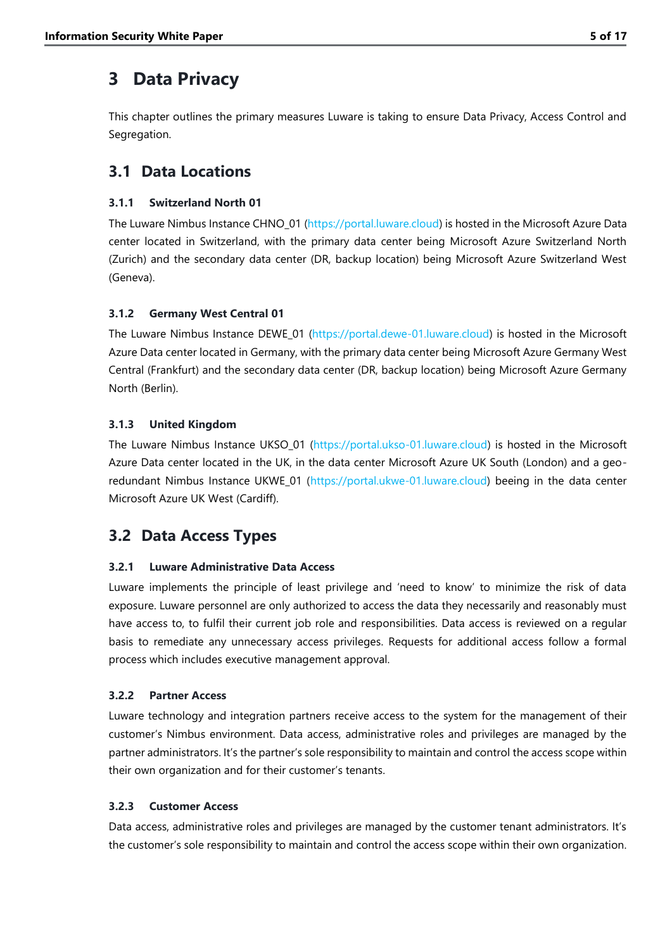### <span id="page-5-0"></span>**3 Data Privacy**

This chapter outlines the primary measures Luware is taking to ensure Data Privacy, Access Control and Segregation.

#### <span id="page-5-1"></span>**3.1 Data Locations**

#### <span id="page-5-2"></span>**3.1.1 Switzerland North 01**

The Luware Nimbus Instance CHNO\_01 [\(https://portal.luware.cloud\)](https://portal.luware.cloud/) is hosted in the Microsoft Azure Data center located in Switzerland, with the primary data center being Microsoft Azure Switzerland North (Zurich) and the secondary data center (DR, backup location) being Microsoft Azure Switzerland West (Geneva).

#### <span id="page-5-3"></span>**3.1.2 Germany West Central 01**

The Luware Nimbus Instance DEWE\_01 [\(https://portal.dewe-01.luware.cloud\)](https://portal.dewe-01.luware.cloud/) is hosted in the Microsoft Azure Data center located in Germany, with the primary data center being Microsoft Azure Germany West Central (Frankfurt) and the secondary data center (DR, backup location) being Microsoft Azure Germany North (Berlin).

#### <span id="page-5-4"></span>**3.1.3 United Kingdom**

The Luware Nimbus Instance UKSO\_01 (https://portal.ukso-01.luware.cloud) is hosted in the Microsoft Azure Data center located in the UK, in the data center Microsoft Azure UK South (London) and a georedundant Nimbus Instance UKWE\_01 [\(https://portal.ukwe-01.luware.cloud\)](https://portal.ukwe-01.luware.cloud/) beeing in the data center Microsoft Azure UK West (Cardiff).

### <span id="page-5-5"></span>**3.2 Data Access Types**

#### <span id="page-5-6"></span>**3.2.1 Luware Administrative Data Access**

Luware implements the principle of least privilege and 'need to know' to minimize the risk of data exposure. Luware personnel are only authorized to access the data they necessarily and reasonably must have access to, to fulfil their current job role and responsibilities. Data access is reviewed on a regular basis to remediate any unnecessary access privileges. Requests for additional access follow a formal process which includes executive management approval.

#### <span id="page-5-7"></span>**3.2.2 Partner Access**

Luware technology and integration partners receive access to the system for the management of their customer's Nimbus environment. Data access, administrative roles and privileges are managed by the partner administrators. It's the partner's sole responsibility to maintain and control the access scope within their own organization and for their customer's tenants.

#### <span id="page-5-8"></span>**3.2.3 Customer Access**

Data access, administrative roles and privileges are managed by the customer tenant administrators. It's the customer's sole responsibility to maintain and control the access scope within their own organization.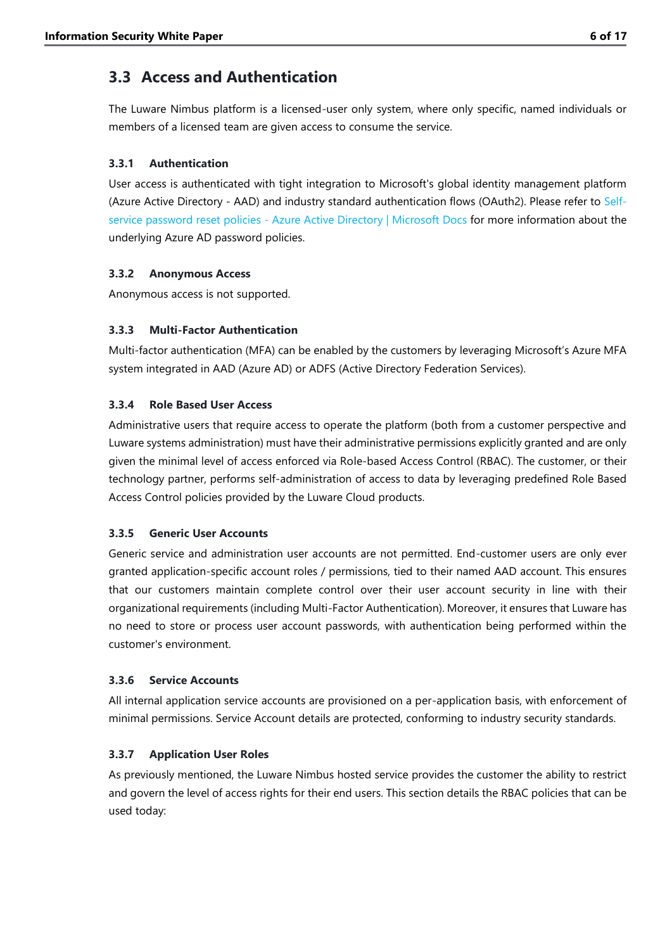#### <span id="page-6-0"></span>**3.3 Access and Authentication**

The Luware Nimbus platform is a licensed-user only system, where only specific, named individuals or members of a licensed team are given access to consume the service.

#### <span id="page-6-1"></span>**3.3.1 Authentication**

User access is authenticated with tight integration to Microsoft's global identity management platform (Azure Active Directory - AAD) and industry standard authentication flows (OAuth2). Please refer to [Self-](https://docs.microsoft.com/en-us/azure/active-directory/authentication/concept-sspr-policy)service password reset policies - [Azure Active Directory | Microsoft Docs](https://docs.microsoft.com/en-us/azure/active-directory/authentication/concept-sspr-policy) for more information about the underlying Azure AD password policies.

#### <span id="page-6-2"></span>**3.3.2 Anonymous Access**

Anonymous access is not supported.

#### <span id="page-6-3"></span>**3.3.3 Multi-Factor Authentication**

Multi-factor authentication (MFA) can be enabled by the customers by leveraging Microsoft's Azure MFA system integrated in AAD (Azure AD) or ADFS (Active Directory Federation Services).

#### <span id="page-6-4"></span>**3.3.4 Role Based User Access**

Administrative users that require access to operate the platform (both from a customer perspective and Luware systems administration) must have their administrative permissions explicitly granted and are only given the minimal level of access enforced via Role-based Access Control (RBAC). The customer, or their technology partner, performs self-administration of access to data by leveraging predefined Role Based Access Control policies provided by the Luware Cloud products.

#### <span id="page-6-5"></span>**3.3.5 Generic User Accounts**

Generic service and administration user accounts are not permitted. End-customer users are only ever granted application-specific account roles / permissions, tied to their named AAD account. This ensures that our customers maintain complete control over their user account security in line with their organizational requirements (including Multi-Factor Authentication). Moreover, it ensures that Luware has no need to store or process user account passwords, with authentication being performed within the customer's environment.

#### <span id="page-6-6"></span>**3.3.6 Service Accounts**

All internal application service accounts are provisioned on a per-application basis, with enforcement of minimal permissions. Service Account details are protected, conforming to industry security standards.

#### <span id="page-6-7"></span>**3.3.7 Application User Roles**

As previously mentioned, the Luware Nimbus hosted service provides the customer the ability to restrict and govern the level of access rights for their end users. This section details the RBAC policies that can be used today: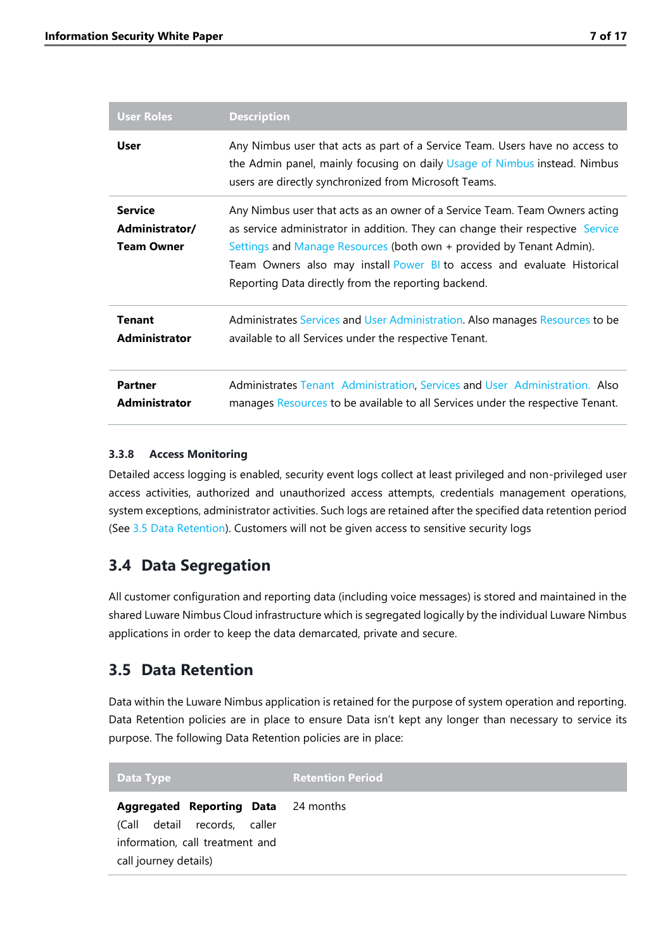| <b>User Roles</b>                                     | <b>Description</b>                                                                                                                                                                                                                                                                                                                                                      |
|-------------------------------------------------------|-------------------------------------------------------------------------------------------------------------------------------------------------------------------------------------------------------------------------------------------------------------------------------------------------------------------------------------------------------------------------|
| <b>User</b>                                           | Any Nimbus user that acts as part of a Service Team. Users have no access to<br>the Admin panel, mainly focusing on daily Usage of Nimbus instead. Nimbus<br>users are directly synchronized from Microsoft Teams.                                                                                                                                                      |
| <b>Service</b><br>Administrator/<br><b>Team Owner</b> | Any Nimbus user that acts as an owner of a Service Team. Team Owners acting<br>as service administrator in addition. They can change their respective Service<br>Settings and Manage Resources (both own + provided by Tenant Admin).<br>Team Owners also may install Power BI to access and evaluate Historical<br>Reporting Data directly from the reporting backend. |
| <b>Tenant</b><br><b>Administrator</b>                 | Administrates Services and User Administration. Also manages Resources to be<br>available to all Services under the respective Tenant.                                                                                                                                                                                                                                  |
| <b>Partner</b><br><b>Administrator</b>                | Administrates Tenant Administration, Services and User Administration. Also<br>manages Resources to be available to all Services under the respective Tenant.                                                                                                                                                                                                           |

#### <span id="page-7-0"></span>**3.3.8 Access Monitoring**

Detailed access logging is enabled, security event logs collect at least privileged and non-privileged user access activities, authorized and unauthorized access attempts, credentials management operations, system exceptions, administrator activities. Such logs are retained after the specified data retention period (See [3.5](#page-7-2) [Data Retention\)](#page-7-2). Customers will not be given access to sensitive security logs

#### <span id="page-7-1"></span>**3.4 Data Segregation**

All customer configuration and reporting data (including voice messages) is stored and maintained in the shared Luware Nimbus Cloud infrastructure which is segregated logically by the individual Luware Nimbus applications in order to keep the data demarcated, private and secure.

#### <span id="page-7-2"></span>**3.5 Data Retention**

Data within the Luware Nimbus application is retained for the purpose of system operation and reporting. Data Retention policies are in place to ensure Data isn't kept any longer than necessary to service its purpose. The following Data Retention policies are in place:

| Data Type                                                                                                                                 | <b>Retention Period</b> |
|-------------------------------------------------------------------------------------------------------------------------------------------|-------------------------|
| <b>Aggregated Reporting Data</b> 24 months<br>detail records, caller<br>(Call<br>information, call treatment and<br>call journey details) |                         |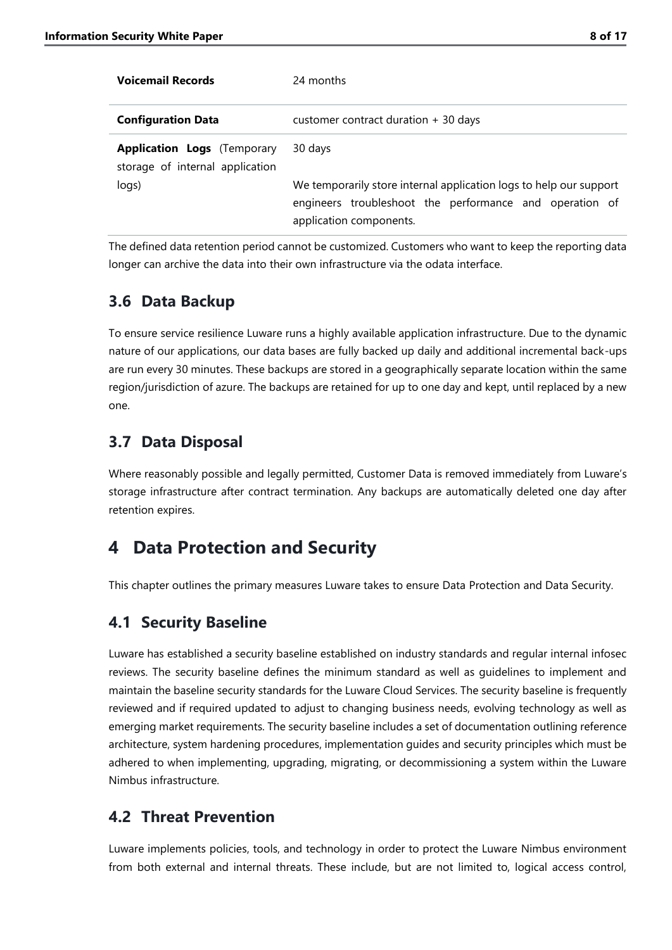| <b>Voicemail Records</b>                                              | 24 months                                                                                                                                                |
|-----------------------------------------------------------------------|----------------------------------------------------------------------------------------------------------------------------------------------------------|
| <b>Configuration Data</b>                                             | customer contract duration $+30$ days                                                                                                                    |
| <b>Application Logs</b> (Temporary<br>storage of internal application | 30 days                                                                                                                                                  |
| logs)                                                                 | We temporarily store internal application logs to help our support<br>engineers troubleshoot the performance and operation of<br>application components. |

The defined data retention period cannot be customized. Customers who want to keep the reporting data longer can archive the data into their own infrastructure via the odata interface.

#### <span id="page-8-0"></span>**3.6 Data Backup**

To ensure service resilience Luware runs a highly available application infrastructure. Due to the dynamic nature of our applications, our data bases are fully backed up daily and additional incremental back-ups are run every 30 minutes. These backups are stored in a geographically separate location within the same region/jurisdiction of azure. The backups are retained for up to one day and kept, until replaced by a new one.

#### <span id="page-8-1"></span>**3.7 Data Disposal**

Where reasonably possible and legally permitted, Customer Data is removed immediately from Luware's storage infrastructure after contract termination. Any backups are automatically deleted one day after retention expires.

### <span id="page-8-2"></span>**4 Data Protection and Security**

This chapter outlines the primary measures Luware takes to ensure Data Protection and Data Security.

### <span id="page-8-3"></span>**4.1 Security Baseline**

Luware has established a security baseline established on industry standards and regular internal infosec reviews. The security baseline defines the minimum standard as well as guidelines to implement and maintain the baseline security standards for the Luware Cloud Services. The security baseline is frequently reviewed and if required updated to adjust to changing business needs, evolving technology as well as emerging market requirements. The security baseline includes a set of documentation outlining reference architecture, system hardening procedures, implementation guides and security principles which must be adhered to when implementing, upgrading, migrating, or decommissioning a system within the Luware Nimbus infrastructure.

### <span id="page-8-4"></span>**4.2 Threat Prevention**

Luware implements policies, tools, and technology in order to protect the Luware Nimbus environment from both external and internal threats. These include, but are not limited to, logical access control,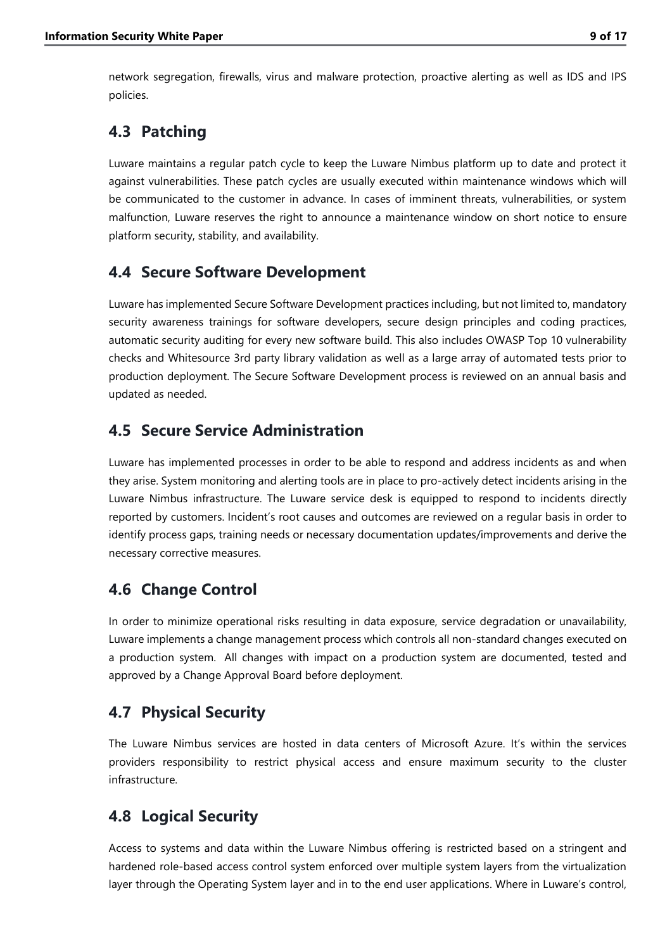network segregation, firewalls, virus and malware protection, proactive alerting as well as IDS and IPS policies.

#### <span id="page-9-0"></span>**4.3 Patching**

Luware maintains a regular patch cycle to keep the Luware Nimbus platform up to date and protect it against vulnerabilities. These patch cycles are usually executed within maintenance windows which will be communicated to the customer in advance. In cases of imminent threats, vulnerabilities, or system malfunction, Luware reserves the right to announce a maintenance window on short notice to ensure platform security, stability, and availability.

#### <span id="page-9-1"></span>**4.4 Secure Software Development**

Luware has implemented Secure Software Development practices including, but not limited to, mandatory security awareness trainings for software developers, secure design principles and coding practices, automatic security auditing for every new software build. This also includes OWASP Top 10 vulnerability checks and Whitesource 3rd party library validation as well as a large array of automated tests prior to production deployment. The Secure Software Development process is reviewed on an annual basis and updated as needed.

#### <span id="page-9-2"></span>**4.5 Secure Service Administration**

Luware has implemented processes in order to be able to respond and address incidents as and when they arise. System monitoring and alerting tools are in place to pro-actively detect incidents arising in the Luware Nimbus infrastructure. The Luware service desk is equipped to respond to incidents directly reported by customers. Incident's root causes and outcomes are reviewed on a regular basis in order to identify process gaps, training needs or necessary documentation updates/improvements and derive the necessary corrective measures.

### <span id="page-9-3"></span>**4.6 Change Control**

In order to minimize operational risks resulting in data exposure, service degradation or unavailability, Luware implements a change management process which controls all non-standard changes executed on a production system. All changes with impact on a production system are documented, tested and approved by a Change Approval Board before deployment.

### <span id="page-9-4"></span>**4.7 Physical Security**

The Luware Nimbus services are hosted in data centers of Microsoft Azure. It's within the services providers responsibility to restrict physical access and ensure maximum security to the cluster infrastructure.

### <span id="page-9-5"></span>**4.8 Logical Security**

Access to systems and data within the Luware Nimbus offering is restricted based on a stringent and hardened role-based access control system enforced over multiple system layers from the virtualization layer through the Operating System layer and in to the end user applications. Where in Luware's control,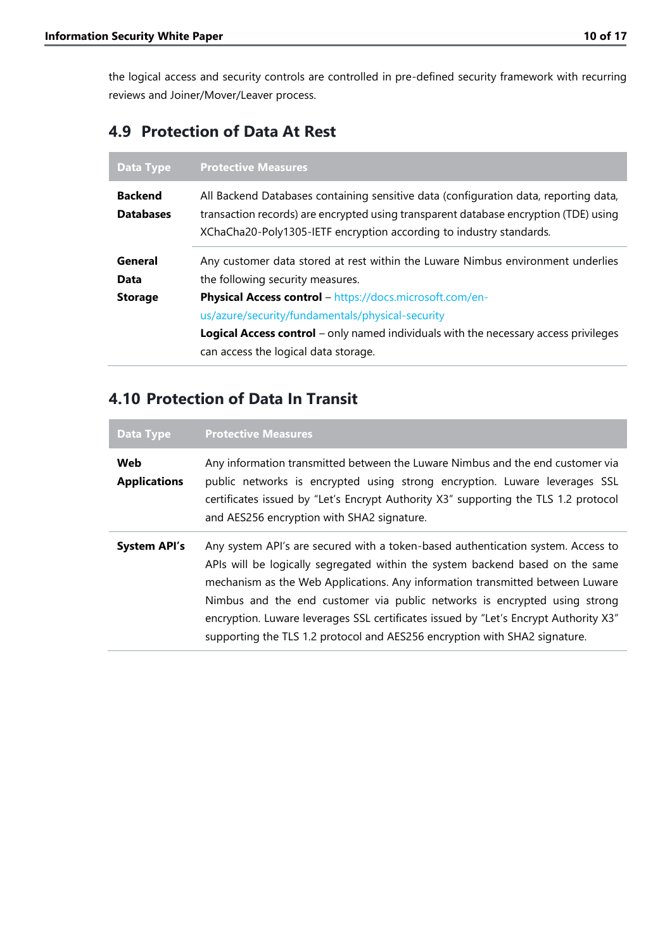the logical access and security controls are controlled in pre-defined security framework with recurring reviews and Joiner/Mover/Leaver process.

#### <span id="page-10-0"></span>**4.9 Protection of Data At Rest**

| Data Type                          | <b>Protective Measures</b>                                                                                                                                                                                                                          |
|------------------------------------|-----------------------------------------------------------------------------------------------------------------------------------------------------------------------------------------------------------------------------------------------------|
| <b>Backend</b><br><b>Databases</b> | All Backend Databases containing sensitive data (configuration data, reporting data,<br>transaction records) are encrypted using transparent database encryption (TDE) using<br>XChaCha20-Poly1305-IETF encryption according to industry standards. |
| General                            | Any customer data stored at rest within the Luware Nimbus environment underlies                                                                                                                                                                     |
| Data<br><b>Storage</b>             | the following security measures.<br>Physical Access control - https://docs.microsoft.com/en-<br>us/azure/security/fundamentals/physical-security                                                                                                    |
|                                    | Logical Access control - only named individuals with the necessary access privileges<br>can access the logical data storage.                                                                                                                        |

### <span id="page-10-1"></span>**4.10 Protection of Data In Transit**

| <b>Data Type</b>           | <b>Protective Measures</b>                                                                                                                                                                                                                                                                                                                                                                                                                                                                            |
|----------------------------|-------------------------------------------------------------------------------------------------------------------------------------------------------------------------------------------------------------------------------------------------------------------------------------------------------------------------------------------------------------------------------------------------------------------------------------------------------------------------------------------------------|
| Web<br><b>Applications</b> | Any information transmitted between the Luware Nimbus and the end customer via<br>public networks is encrypted using strong encryption. Luware leverages SSL<br>certificates issued by "Let's Encrypt Authority X3" supporting the TLS 1.2 protocol<br>and AES256 encryption with SHA2 signature.                                                                                                                                                                                                     |
| <b>System API's</b>        | Any system API's are secured with a token-based authentication system. Access to<br>APIs will be logically segregated within the system backend based on the same<br>mechanism as the Web Applications. Any information transmitted between Luware<br>Nimbus and the end customer via public networks is encrypted using strong<br>encryption. Luware leverages SSL certificates issued by "Let's Encrypt Authority X3"<br>supporting the TLS 1.2 protocol and AES256 encryption with SHA2 signature. |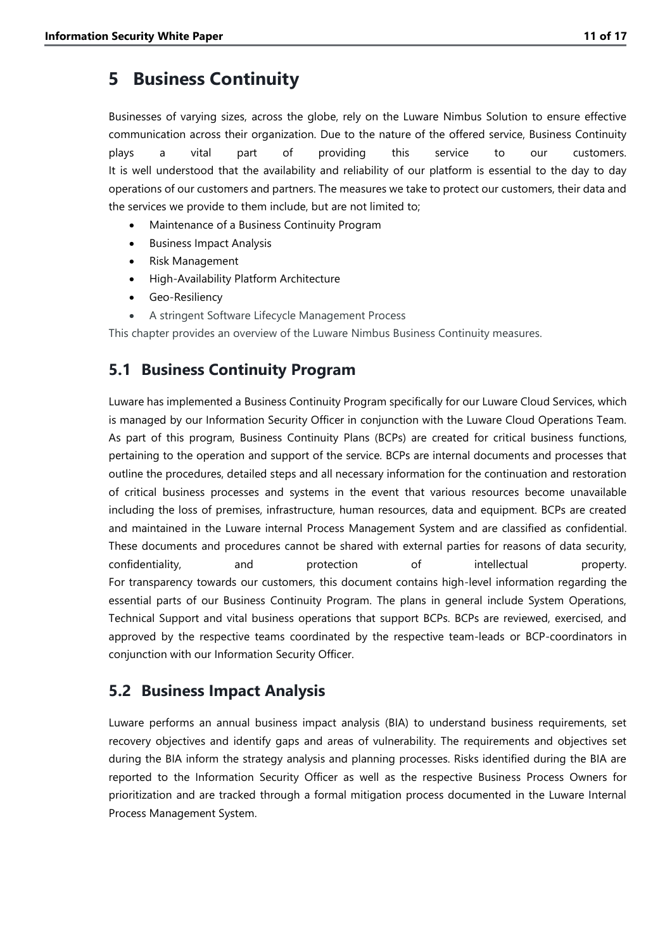### <span id="page-11-0"></span>**5 Business Continuity**

Businesses of varying sizes, across the globe, rely on the Luware Nimbus Solution to ensure effective communication across their organization. Due to the nature of the offered service, Business Continuity plays a vital part of providing this service to our customers. It is well understood that the availability and reliability of our platform is essential to the day to day operations of our customers and partners. The measures we take to protect our customers, their data and the services we provide to them include, but are not limited to;

- Maintenance of a Business Continuity Program
- Business Impact Analysis
- Risk Management
- High-Availability Platform Architecture
- Geo-Resiliency
- A stringent Software Lifecycle Management Process

This chapter provides an overview of the Luware Nimbus Business Continuity measures.

#### <span id="page-11-1"></span>**5.1 Business Continuity Program**

Luware has implemented a Business Continuity Program specifically for our Luware Cloud Services, which is managed by our Information Security Officer in conjunction with the Luware Cloud Operations Team. As part of this program, Business Continuity Plans (BCPs) are created for critical business functions, pertaining to the operation and support of the service. BCPs are internal documents and processes that outline the procedures, detailed steps and all necessary information for the continuation and restoration of critical business processes and systems in the event that various resources become unavailable including the loss of premises, infrastructure, human resources, data and equipment. BCPs are created and maintained in the Luware internal Process Management System and are classified as confidential. These documents and procedures cannot be shared with external parties for reasons of data security, confidentiality, and protection of intellectual property. For transparency towards our customers, this document contains high-level information regarding the essential parts of our Business Continuity Program. The plans in general include System Operations, Technical Support and vital business operations that support BCPs. BCPs are reviewed, exercised, and approved by the respective teams coordinated by the respective team-leads or BCP-coordinators in conjunction with our Information Security Officer.

#### <span id="page-11-2"></span>**5.2 Business Impact Analysis**

Luware performs an annual business impact analysis (BIA) to understand business requirements, set recovery objectives and identify gaps and areas of vulnerability. The requirements and objectives set during the BIA inform the strategy analysis and planning processes. Risks identified during the BIA are reported to the Information Security Officer as well as the respective Business Process Owners for prioritization and are tracked through a formal mitigation process documented in the Luware Internal Process Management System.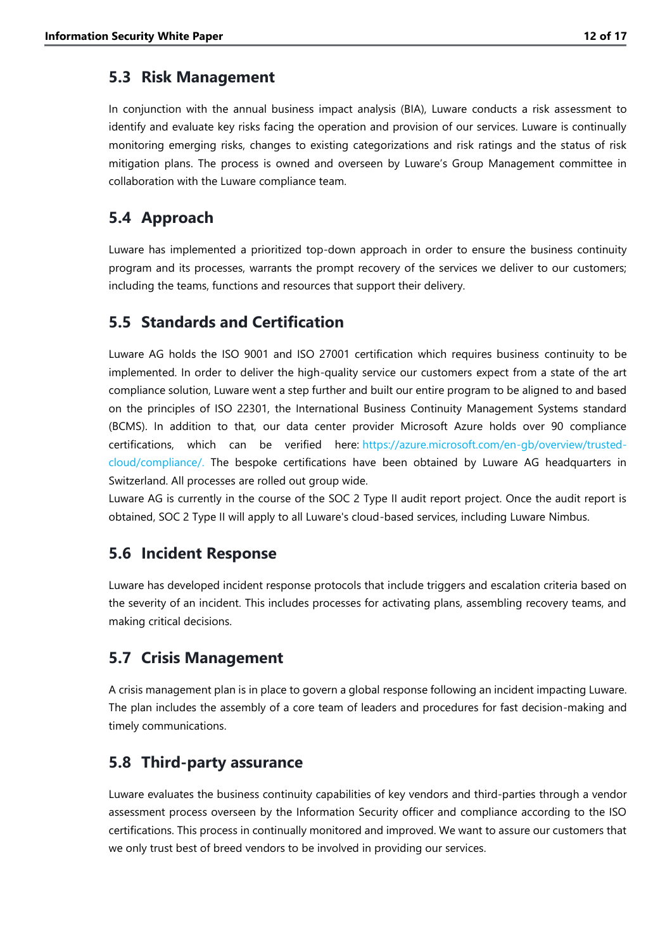#### <span id="page-12-0"></span>**5.3 Risk Management**

In conjunction with the annual business impact analysis (BIA), Luware conducts a risk assessment to identify and evaluate key risks facing the operation and provision of our services. Luware is continually monitoring emerging risks, changes to existing categorizations and risk ratings and the status of risk mitigation plans. The process is owned and overseen by Luware's Group Management committee in collaboration with the Luware compliance team.

### <span id="page-12-1"></span>**5.4 Approach**

Luware has implemented a prioritized top-down approach in order to ensure the business continuity program and its processes, warrants the prompt recovery of the services we deliver to our customers; including the teams, functions and resources that support their delivery.

#### <span id="page-12-2"></span>**5.5 Standards and Certification**

Luware AG holds the ISO 9001 and ISO 27001 certification which requires business continuity to be implemented. In order to deliver the high-quality service our customers expect from a state of the art compliance solution, Luware went a step further and built our entire program to be aligned to and based on the principles of ISO 22301, the International Business Continuity Management Systems standard (BCMS). In addition to that, our data center provider Microsoft Azure holds over 90 compliance certifications, which can be verified here: [https://azure.microsoft.com/en-gb/overview/trusted](https://azure.microsoft.com/en-gb/overview/trusted-cloud/compliance/)[cloud/compliance/.](https://azure.microsoft.com/en-gb/overview/trusted-cloud/compliance/) The bespoke certifications have been obtained by Luware AG headquarters in Switzerland. All processes are rolled out group wide.

Luware AG is currently in the course of the SOC 2 Type II audit report project. Once the audit report is obtained, SOC 2 Type II will apply to all Luware's cloud-based services, including Luware Nimbus.

### <span id="page-12-3"></span>**5.6 Incident Response**

Luware has developed incident response protocols that include triggers and escalation criteria based on the severity of an incident. This includes processes for activating plans, assembling recovery teams, and making critical decisions.

### <span id="page-12-4"></span>**5.7 Crisis Management**

A crisis management plan is in place to govern a global response following an incident impacting Luware. The plan includes the assembly of a core team of leaders and procedures for fast decision-making and timely communications.

#### <span id="page-12-5"></span>**5.8 Third-party assurance**

Luware evaluates the business continuity capabilities of key vendors and third-parties through a vendor assessment process overseen by the Information Security officer and compliance according to the ISO certifications. This process in continually monitored and improved. We want to assure our customers that we only trust best of breed vendors to be involved in providing our services.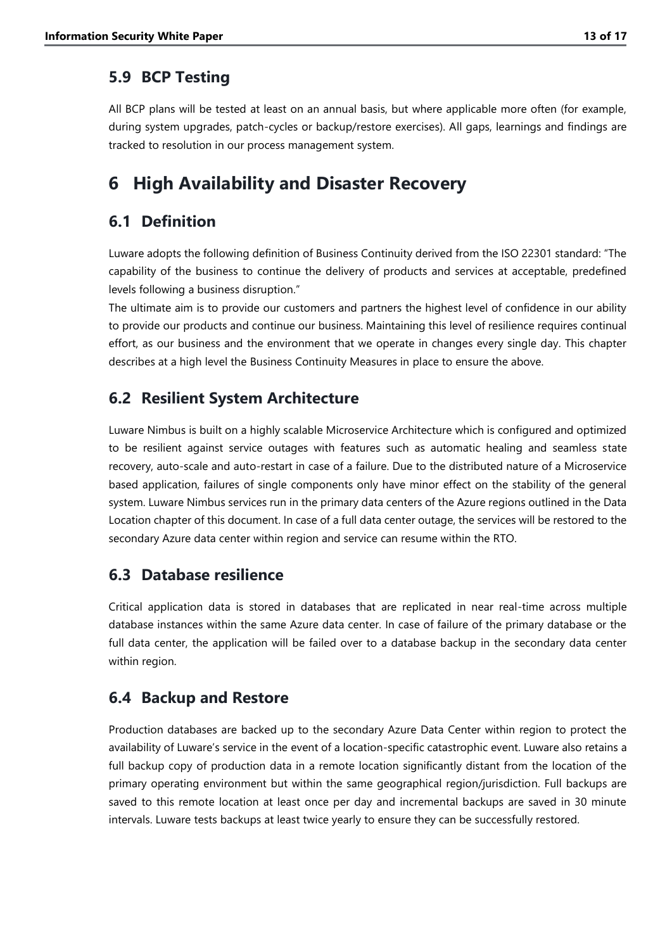#### <span id="page-13-0"></span>**5.9 BCP Testing**

All BCP plans will be tested at least on an annual basis, but where applicable more often (for example, during system upgrades, patch-cycles or backup/restore exercises). All gaps, learnings and findings are tracked to resolution in our process management system.

### <span id="page-13-1"></span>**6 High Availability and Disaster Recovery**

### <span id="page-13-2"></span>**6.1 Definition**

Luware adopts the following definition of Business Continuity derived from the ISO 22301 standard: "The capability of the business to continue the delivery of products and services at acceptable, predefined levels following a business disruption."

The ultimate aim is to provide our customers and partners the highest level of confidence in our ability to provide our products and continue our business. Maintaining this level of resilience requires continual effort, as our business and the environment that we operate in changes every single day. This chapter describes at a high level the Business Continuity Measures in place to ensure the above.

### <span id="page-13-3"></span>**6.2 Resilient System Architecture**

Luware Nimbus is built on a highly scalable Microservice Architecture which is configured and optimized to be resilient against service outages with features such as automatic healing and seamless state recovery, auto-scale and auto-restart in case of a failure. Due to the distributed nature of a Microservice based application, failures of single components only have minor effect on the stability of the general system. Luware Nimbus services run in the primary data centers of the Azure regions outlined in the Data Location chapter of this document. In case of a full data center outage, the services will be restored to the secondary Azure data center within region and service can resume within the RTO.

### <span id="page-13-4"></span>**6.3 Database resilience**

Critical application data is stored in databases that are replicated in near real-time across multiple database instances within the same Azure data center. In case of failure of the primary database or the full data center, the application will be failed over to a database backup in the secondary data center within region.

### <span id="page-13-5"></span>**6.4 Backup and Restore**

Production databases are backed up to the secondary Azure Data Center within region to protect the availability of Luware's service in the event of a location-specific catastrophic event. Luware also retains a full backup copy of production data in a remote location significantly distant from the location of the primary operating environment but within the same geographical region/jurisdiction. Full backups are saved to this remote location at least once per day and incremental backups are saved in 30 minute intervals. Luware tests backups at least twice yearly to ensure they can be successfully restored.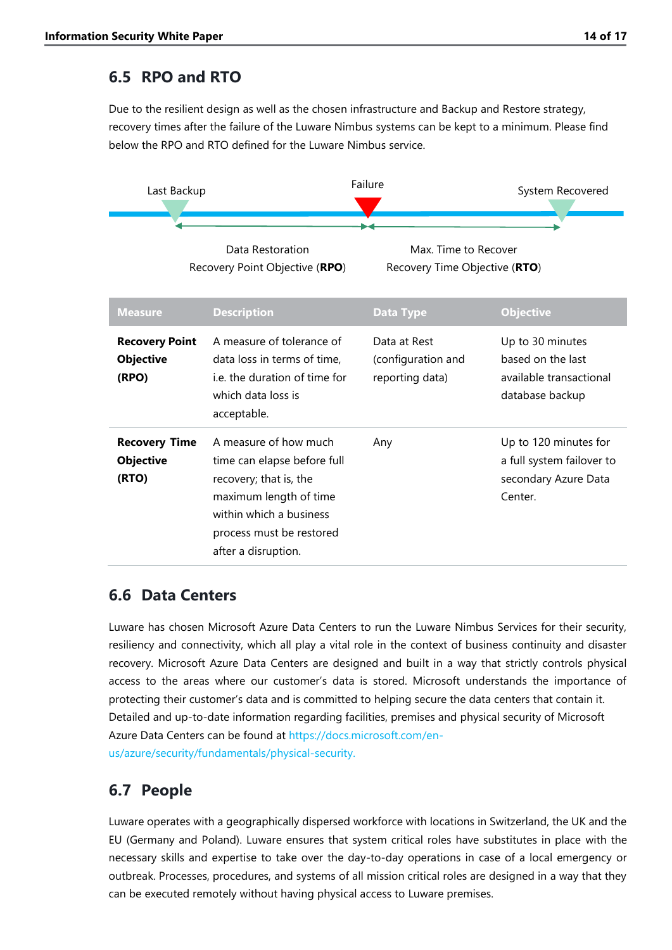### <span id="page-14-0"></span>**6.5 RPO and RTO**

Due to the resilient design as well as the chosen infrastructure and Backup and Restore strategy, recovery times after the failure of the Luware Nimbus systems can be kept to a minimum. Please find below the RPO and RTO defined for the Luware Nimbus service.



Recovery Point Objective (**RPO**)

Recovery Time Objective (**RTO**)

| <b>Measure</b>                                     | <b>Description</b>                                                                                                                                                                     | <b>Data Type</b>                                      | <b>Objective</b>                                                                      |
|----------------------------------------------------|----------------------------------------------------------------------------------------------------------------------------------------------------------------------------------------|-------------------------------------------------------|---------------------------------------------------------------------------------------|
| <b>Recovery Point</b><br><b>Objective</b><br>(RPO) | A measure of tolerance of<br>data loss in terms of time.<br>i.e. the duration of time for<br>which data loss is<br>acceptable.                                                         | Data at Rest<br>(configuration and<br>reporting data) | Up to 30 minutes<br>based on the last<br>available transactional<br>database backup   |
| <b>Recovery Time</b><br><b>Objective</b><br>(RTO)  | A measure of how much<br>time can elapse before full<br>recovery; that is, the<br>maximum length of time<br>within which a business<br>process must be restored<br>after a disruption. | Any                                                   | Up to 120 minutes for<br>a full system failover to<br>secondary Azure Data<br>Center. |

#### <span id="page-14-1"></span>**6.6 Data Centers**

Luware has chosen Microsoft Azure Data Centers to run the Luware Nimbus Services for their security, resiliency and connectivity, which all play a vital role in the context of business continuity and disaster recovery. Microsoft Azure Data Centers are designed and built in a way that strictly controls physical access to the areas where our customer's data is stored. Microsoft understands the importance of protecting their customer's data and is committed to helping secure the data centers that contain it. Detailed and up-to-date information regarding facilities, premises and physical security of Microsoft Azure Data Centers can be found at [https://docs.microsoft.com/en](https://docs.microsoft.com/en-us/azure/security/fundamentals/physical-security)[us/azure/security/fundamentals/physical-security.](https://docs.microsoft.com/en-us/azure/security/fundamentals/physical-security)

### <span id="page-14-2"></span>**6.7 People**

Luware operates with a geographically dispersed workforce with locations in Switzerland, the UK and the EU (Germany and Poland). Luware ensures that system critical roles have substitutes in place with the necessary skills and expertise to take over the day-to-day operations in case of a local emergency or outbreak. Processes, procedures, and systems of all mission critical roles are designed in a way that they can be executed remotely without having physical access to Luware premises.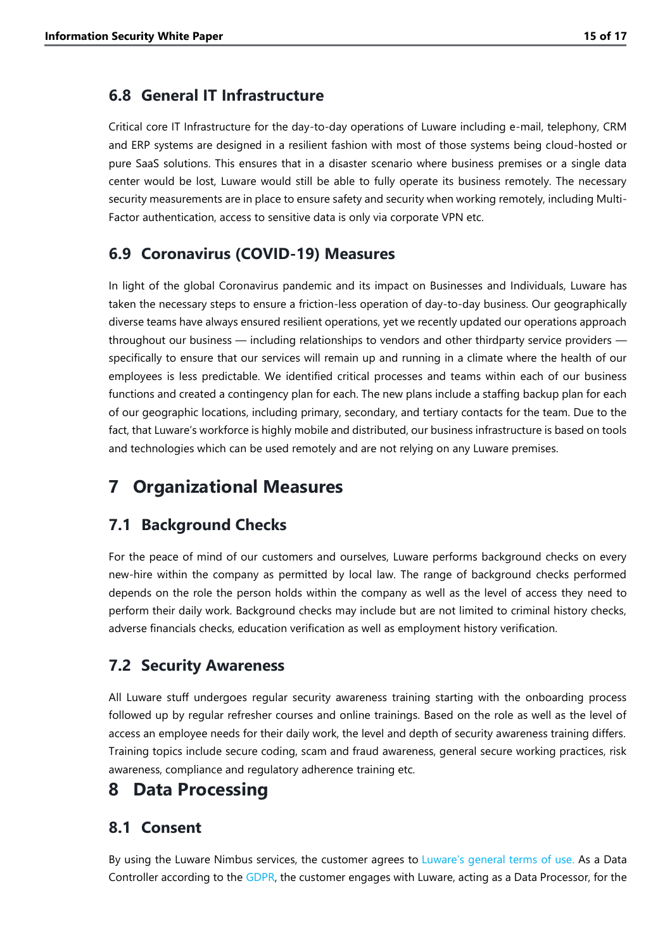#### <span id="page-15-0"></span>**6.8 General IT Infrastructure**

Critical core IT Infrastructure for the day-to-day operations of Luware including e-mail, telephony, CRM and ERP systems are designed in a resilient fashion with most of those systems being cloud-hosted or pure SaaS solutions. This ensures that in a disaster scenario where business premises or a single data center would be lost, Luware would still be able to fully operate its business remotely. The necessary security measurements are in place to ensure safety and security when working remotely, including Multi-Factor authentication, access to sensitive data is only via corporate VPN etc.

#### <span id="page-15-1"></span>**6.9 Coronavirus (COVID-19) Measures**

In light of the global Coronavirus pandemic and its impact on Businesses and Individuals, Luware has taken the necessary steps to ensure a friction-less operation of day-to-day business. Our geographically diverse teams have always ensured resilient operations, yet we recently updated our operations approach throughout our business — including relationships to vendors and other thirdparty service providers specifically to ensure that our services will remain up and running in a climate where the health of our employees is less predictable. We identified critical processes and teams within each of our business functions and created a contingency plan for each. The new plans include a staffing backup plan for each of our geographic locations, including primary, secondary, and tertiary contacts for the team. Due to the fact, that Luware's workforce is highly mobile and distributed, our business infrastructure is based on tools and technologies which can be used remotely and are not relying on any Luware premises.

### <span id="page-15-2"></span>**7 Organizational Measures**

#### <span id="page-15-3"></span>**7.1 Background Checks**

For the peace of mind of our customers and ourselves, Luware performs background checks on every new-hire within the company as permitted by local law. The range of background checks performed depends on the role the person holds within the company as well as the level of access they need to perform their daily work. Background checks may include but are not limited to criminal history checks, adverse financials checks, education verification as well as employment history verification.

#### <span id="page-15-4"></span>**7.2 Security Awareness**

All Luware stuff undergoes regular security awareness training starting with the onboarding process followed up by regular refresher courses and online trainings. Based on the role as well as the level of access an employee needs for their daily work, the level and depth of security awareness training differs. Training topics include secure coding, scam and fraud awareness, general secure working practices, risk awareness, compliance and regulatory adherence training etc.

#### <span id="page-15-5"></span>**8 Data Processing**

#### <span id="page-15-6"></span>**8.1 Consent**

By using the Luware Nimbus services, the customer agrees to [Luware's general terms of use](https://luware.com/en/agreements/saas/). As a Data Controller according to the [GDPR,](https://gdpr-info.eu/) the customer engages with Luware, acting as a Data Processor, for the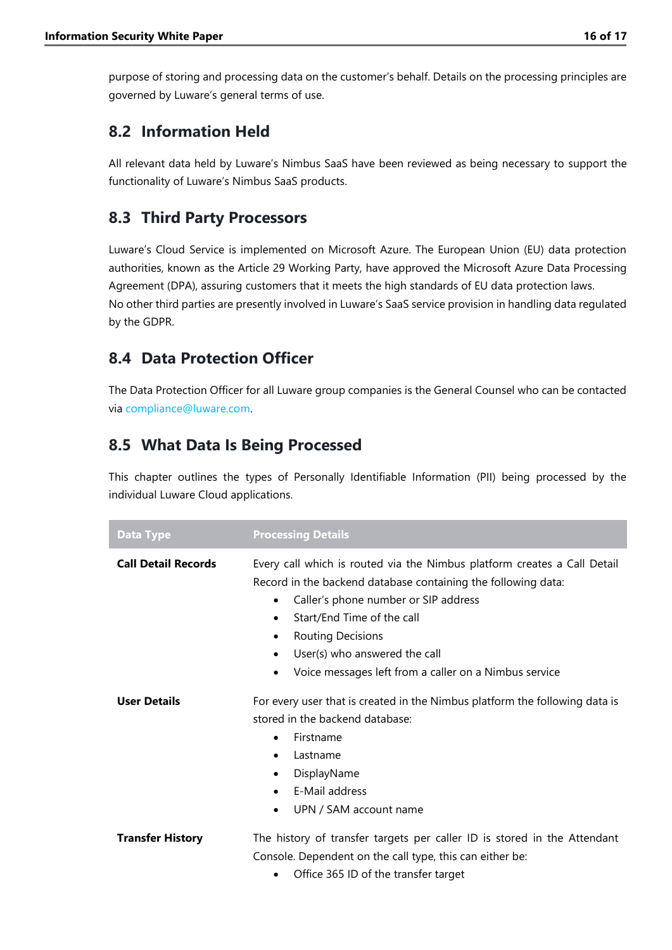purpose of storing and processing data on the customer's behalf. Details on the processing principles are governed by Luware's general terms of use.

#### <span id="page-16-0"></span>**8.2 Information Held**

All relevant data held by Luware's Nimbus SaaS have been reviewed as being necessary to support the functionality of Luware's Nimbus SaaS products.

#### <span id="page-16-1"></span>**8.3 Third Party Processors**

Luware's Cloud Service is implemented on Microsoft Azure. The European Union (EU) data protection authorities, known as the Article 29 Working Party, have approved the Microsoft Azure Data Processing Agreement (DPA), assuring customers that it meets the high standards of EU data protection laws. No other third parties are presently involved in Luware's SaaS service provision in handling data regulated by the GDPR.

### <span id="page-16-2"></span>**8.4 Data Protection Officer**

The Data Protection Officer for all Luware group companies is the General Counsel who can be contacted via [compliance@luware.com.](mailto:compliance@luware.com)

### <span id="page-16-3"></span>**8.5 What Data Is Being Processed**

This chapter outlines the types of Personally Identifiable Information (PII) being processed by the individual Luware Cloud applications.

| <b>Data Type</b>           | <b>Processing Details</b>                                                                                                                                                                                                                                                                                                                                            |
|----------------------------|----------------------------------------------------------------------------------------------------------------------------------------------------------------------------------------------------------------------------------------------------------------------------------------------------------------------------------------------------------------------|
| <b>Call Detail Records</b> | Every call which is routed via the Nimbus platform creates a Call Detail<br>Record in the backend database containing the following data:<br>Caller's phone number or SIP address<br>$\bullet$<br>Start/End Time of the call<br>$\bullet$<br><b>Routing Decisions</b><br>٠<br>User(s) who answered the call<br>Voice messages left from a caller on a Nimbus service |
| <b>User Details</b>        | For every user that is created in the Nimbus platform the following data is<br>stored in the backend database:<br>Firstname<br>$\bullet$<br>Lastname<br>$\bullet$<br>DisplayName<br>$\bullet$<br>E-Mail address<br>UPN / SAM account name                                                                                                                            |
| <b>Transfer History</b>    | The history of transfer targets per caller ID is stored in the Attendant<br>Console. Dependent on the call type, this can either be:<br>Office 365 ID of the transfer target                                                                                                                                                                                         |